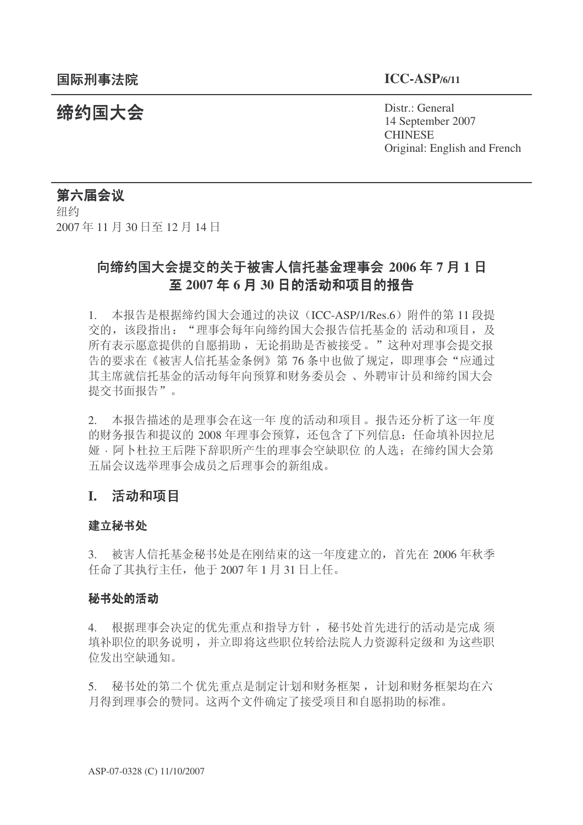**缔约国大会**<br>◆ Distr.: General 14 September 2007 **CHINESE** Original: English and French

# 第六届会议

细约 2007年11月30日至12月14日

# 向缔约国大会提交的关于被害人信托基金理事会 2006年7月1日 至 2007年6月30日的活动和项目的报告

1. 本报告是根据缔约国大会通过的决议 (ICC-ASP/1/Res.6) 附件的第 11 段提 交的,该段指出: "理事会每年向缔约国大会报告信托基金的 活动和项目, 及 所有表示愿意提供的自愿捐助, 无论捐助是否被接受。"这种对理事会提交报 告的要求在《被害人信托基金条例》第76条中也做了规定,即理事会"应通过 其主席就信托基金的活动每年向预算和财务委员会、外聘审计员和缔约国大会 提交书面报告"。

2. 本报告描述的是理事会在这一年 度的活动和项目。报告还分析了这一年度 的财务报告和提议的 2008 年理事会预算, 还包含了下列信息: 任命填补因拉尼 娅· 阿卜杜拉王后陛下辞职所产生的理事会空缺职位 的人选: 在缔约国大会第 五届会议选举理事会成员之后理事会的新组成。

# **I.** 活动和项目

#### 建立秘书处

3. 被害人信托基金秘书处是在刚结束的这一年度建立的,首先在 2006 年秋季  $f + \hat{m} = \frac{1}{2007} + \frac{1}{2007} + \frac{1}{2007} + \frac{1}{2007} + \frac{1}{2007} + \frac{1}{2007} + \frac{1}{2007} + \frac{1}{2007} + \frac{1}{2007} + \frac{1}{2007} + \frac{1}{2007} + \frac{1}{2007} + \frac{1}{2007} + \frac{1}{2007} + \frac{1}{2007} + \frac{1}{2007} + \frac{1}{2007} + \frac{1}{2007} + \frac{1}{2007} + \frac$ 

#### 秘书处的活动

4. 根据理事会决定的优先重点和指导方针, 秘书处首先进行的活动是完成 须 填补职位的职务说明,并立即将这些职位转给法院人力资源科定级和为这些职 位发出空缺通知。

5. 秘书处的第二个优先重点是制定计划和财务框架, 计划和财务框架均在六 月得到理事会的赞同。这两个文件确定了接受项目和自愿捐助的标准。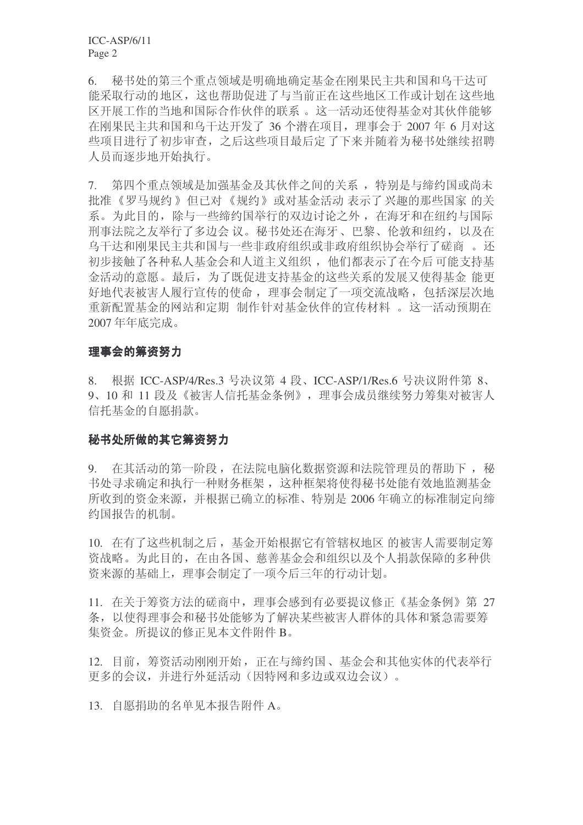6. 秘书处的第三个重点领域是明确地确定基金在刚果民主共和国和乌干达可 能采取行动的地区, 这也帮助促进了与当前正在这些地区工作或计划在这些地 区开展工作的当地和国际合作伙伴的联系。这一活动还使得基金对其伙伴能够 在刚果民主共和国和乌干达开发了 36 个潜在项目, 理事会于 2007 年 6 月对这 些项目讲行了初步审查, 之后这些项目最后定了下来并随着为秘书处继续招聘 人员而逐步地开始执行。

7. 第四个重点领域是加强基金及其伙伴之间的关系, 特别是与缔约国或尚未 批准 《罗马规约》 但已对 《规约》 或对基金活动 表示了 兴趣的那些国家 的关 系。为此目的,除与一些缔约国举行的双边讨论之外,在海牙和在纽约与国际 刑事法院之友举行了多边会 议。秘书处还在海牙、巴黎、伦敦和纽约, 以及在 乌干达和刚果民主共和国与一些非政府组织或非政府组织协会举行了磋商。还 初步接触了各种私人基金会和人道主义组织, 他们都表示了在今后 可能支持基 金活动的意愿。最后, 为了既促讲支持基金的这些关系的发展又使得基金 能更 好地代表被害人履行宣传的使命, 理事会制定了一项交流战略, 包括深层次地 重新配置基金的网站和定期 制作针对基金伙伴的宣传材料 。这一活动预期在 2007年年底完成。

### 理事会的筹资努力

8. 根据 ICC-ASP/4/Res.3 号决议第 4 段、ICC-ASP/1/Res.6 号决议附件第 8、 9、10 和 11 段及《被害人信托基金条例》, 理事会成员继续努力筹集对被害人 信托基金的自愿捐款。

# 秘书处所做的其它筹资努力

9. 在其活动的第一阶段, 在法院电脑化数据资源和法院管理员的帮助下, 秘 书处寻求确定和执行一种财务框架, 这种框架将使得秘书处能有效地监测基金 所收到的资金来源,并根据已确立的标准、特别是 2006 年确立的标准制定向缔 约国报告的机制。

10. 在有了这些机制之后, 基金开始根据它有管辖权地区 的被害人需要制定筹 咨战略。为此目的,在由各国、慈善基金会和组织以及个人捐款保障的多种供 资来源的基础上,理事会制定了一项今后三年的行动计划。

11. 在关于筹资方法的磋商中, 理事会感到有必要提议修正《基金条例》第 27 条, 以使得理事会和秘书处能够为了解决某些被害人群体的具体和紧急需要筹 集资金。所提议的修正见本文件附件 B。

12. 目前, 筹资活动刚刚开始, 正在与缔约国、基金会和其他实体的代表举行 更多的会议,并进行外延活动(因特网和多边或双边会议)。

13. 自愿捐助的名单见本报告附件 A。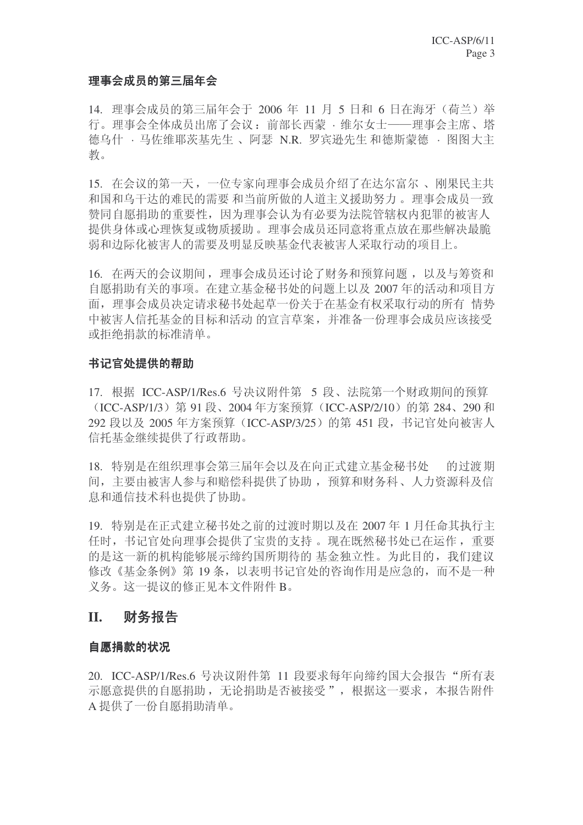### 理事会成员的第三届年会

14. 理事会成员的第三届年会于 2006 年 11 月 5 日和 6 日在海牙 (荷兰) 举 行。理事会全体成员出席了会议: 前部长西蒙 · 维尔女十——理事会主席、塔 德乌什 · 马佐维耶茨基先生、阿瑟 N.R. 罗宾逊先生和德斯蒙德 · 图图大主 教。

15. 在会议的第一天, 一位专家向理事会成员介绍了在达尔富尔、刚果民主共 和国和乌干达的难民的需要和当前所做的人道主义援助努力。理事会成员一致 赞同自愿捐助的重要性, 因为理事会认为有必要为法院管辖权内犯罪的被害人 提供身体或心理恢复或物质援助。理事会成员还同意将重点放在那些解决最脆 弱和边际化被害人的需要及明显反映基金代表被害人采取行动的项目上。

16. 在两天的会议期间, 理事会成员还讨论了财务和预算问题, 以及与筹资和 自愿捐助有关的事项。在建立基金秘书处的问题上以及 2007 年的活动和项目方 面, 理事会成员决定请求秘书处起草一份关于在基金有权采取行动的所有 情势 中被害人信托基金的目标和活动的宣言草案,并准备一份理事会成员应该接受 或拒绝捐款的标准清单。

#### 书记官处提供的帮助

17. 根据 ICC-ASP/1/Res.6 号决议附件第 5 段、法院第一个财政期间的预算 (ICC-ASP/1/3) 第 91 段、2004 年方案预算 (ICC-ASP/2/10) 的第 284、290 和 292 段以及 2005 年方案预算 (ICC-ASP/3/25) 的第 451 段, 书记官处向被害人 信托基金继续提供了行政帮助。

18. 特别是在组织理事会第三届年会以及在向正式建立基金秘书处。 的过渡期 间, 主要由被害人参与和赔偿科提供了协助, 预算和财务科、人力资源科及信 息和通信技术科也提供了协助。

19. 特别是在正式建立秘书处之前的过渡时期以及在 2007 年 1 月任命其执行主 任时, 书记官处向理事会提供了宝贵的支持 。现在既然秘书处已在运作, 重要 的是这一新的机构能够展示缔约国所期待的 基金独立性。为此目的, 我们建议 修改《基金条例》第19条,以表明书记官处的咨询作用是应急的,而不是一种 义务。这一提议的修正见本文件附件 B。

# **II.** 财务报告

### 自愿捐款的状况

20. ICC-ASP/1/Res.6 号决议附件第 11 段要求每年向缔约国大会报告"所有表 示愿意提供的自愿捐助,无论捐助是否被接受",根据这一要求,本报告附件 A 提供了一份自愿捐助清单。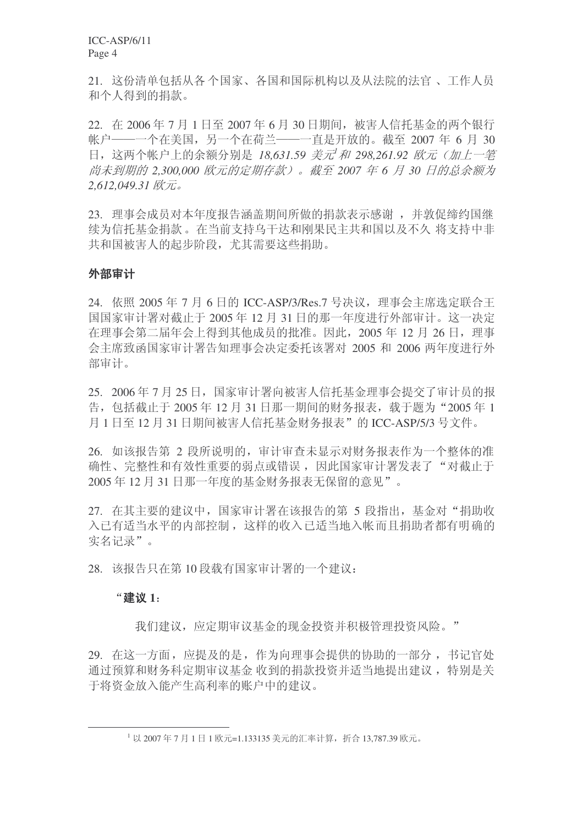ICC-ASP/6/11 Page 4

21. 这份清单包括从各个国家、各国和国际机构以及从法院的法官、工作人员 和个人得到的捐款。

 $22.$  在 2006年7月1日至 2007年6月 30 日期间, 被害人信托基金的两个银行 帐户——一个在美国,另一个在荷兰——一直是开放的。截至 2007 年 6 月 30 日, 这两个帐户上的余额分别是 18,631.59 美元<sup>1</sup>和 298,261.92 欧元 (加上一笔 尚未到期的 2,300,000 欧元的定期存款)。截至 2007 年 6 月 30 日的总余额为 2,612,049.31 欧元。

23. 理事会成员对本年度报告涵盖期间所做的捐款表示感谢, 并敦促缔约国继 续为信托基金捐款。在当前支持乌干达和刚果民主共和国以及不久 将支持中非 共和国被害人的起步阶段, 尤其需要这些捐助。

### 外部审计

24. 依照 2005 年 7 月 6 日的 ICC-ASP/3/Res.7 号决议, 理事会主席选定联合王 国国家审计署对截止于 2005年12月31日的那一年度讲行外部审计。这一决定 在理事会第二届年会上得到其他成员的批准。因此, 2005 年 12 月 26 日, 理事 会主席致函国家审计署告知理事会决定委托该署对 2005 和 2006 两年度进行外 部审计。

 $25. 2006$ 年7月25日, 国家审计署向被害人信托基金理事会提交了审计员的报 告, 包括截止于 2005 年 12 月 31 日那一期间的财务报表, 载于题为"2005 年 1 月 1 日至 12 月 31 日期间被害人信托基金财务报表"的 ICC-ASP/5/3 号文件。

26. 如该报告第 2 段所说明的, 审计审查未显示对财务报表作为一个整体的准 确性、完整性和有效性重要的弱点或错误, 因此国家审计署发表了"对截止于 2005年12月31日那一年度的基金财务报表无保留的意见"。

27. 在其主要的建议中, 国家审计署在该报告的第 5 段指出, 基金对"捐助收 入已有适当水平的内部控制, 这样的收入已适当地入帐而且捐助者都有明确的 实名记录"。

28. 该报告只在第10 段载有国家审计署的一个建议:

### Āᓎ䆂 **1**˖

我们建议, 应定期审议基金的现金投资并积极管理投资风险。"

29. 在这一方面, 应提及的是, 作为向理事会提供的协助的一部分, 书记官处 通过预算和财务科定期审议基金收到的捐款投资并适当地提出建议,特别是关 于将资金放入能产生高利率的账户中的建议。

 $^{-1}$  以 2007年7月1日1欧元=1.133135 美元的汇率计算, 折合 13,787.39 欧元。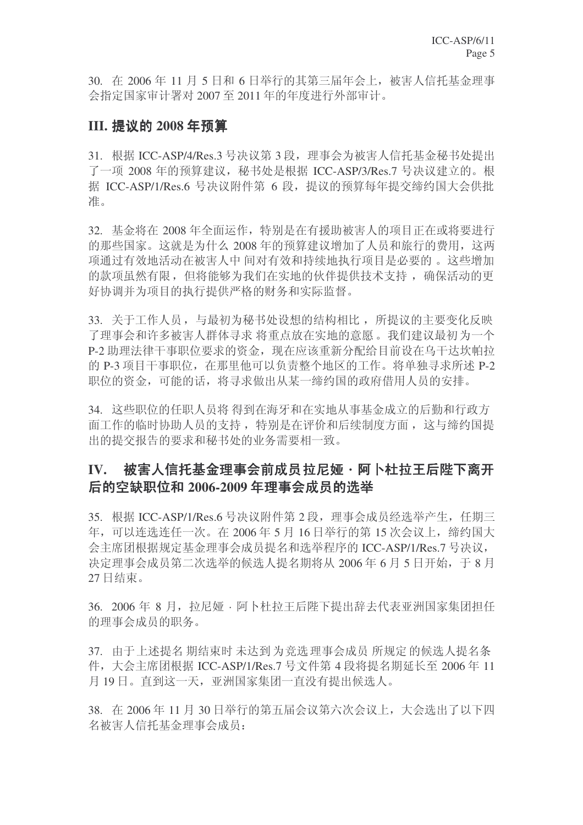30. 在 2006年11月5日和6日举行的其第三届年会上,被害人信托基金理事 会指定国家审计署对 2007 至 2011 年的年度讲行外部审计。

# **III. 提议的 2008 年预算**

31. 根据 ICC-ASP/4/Res.3 号决议第 3 段, 理事会为被害人信托基金秘书处提出 了一项 2008 年的预算建议, 秘书处是根据 ICC-ASP/3/Res.7 号决议建立的。根 据 ICC-ASP/1/Res.6 号决议附件第 6 段, 提议的预算每年提交缔约国大会供批 准。

32. 基金将在 2008 年全面运作, 特别是在有援助被害人的项目正在或将要进行 的那些国家。这就是为什么 2008 年的预算建议增加了人员和旅行的费用, 这两 项通过有效地活动在被害人中 间对有效和持续地执行项目是必要的。这些增加 的款项虽然有限, 但将能够为我们在实地的伙伴提供技术支持, 确保活动的更 好协调并为项目的执行提供严格的财务和实际监督。

33. 关于工作人员, 与最初为秘书处设想的结构相比, 所提议的主要变化反映 了理事会和许多被害人群体寻求 将重点放在实地的意愿。我们建议最初为一个 P-2 助理法律干事职位要求的资金, 现在应该重新分配给目前设在乌干达坎帕拉 的 P-3 项目干事职位, 在那里他可以负责整个地区的工作。将单独寻求所述 P-2 职位的资金,可能的话,将寻求做出从某一缔约国的政府借用人员的安排。

34. 这些职位的任职人员将 得到在海牙和在实地从事基金成立的后勤和行政方 面工作的临时协助人员的支持, 特别是在评价和后续制度方面, 这与缔约国提 出的提交报告的要求和秘书处的业务需要相一致。

# IV. 被害人信托基金理事会前成员拉尼娅·阿卜杜拉王后陛下离开 后的空缺职位和 2006-2009 年理事会成员的选举

35. 根据 ICC-ASP/1/Res.6 号决议附件第 2 段, 理事会成员经选举产生, 任期三 年, 可以连选连任一次。在2006年5月16日举行的第15次会议上, 缔约国大 会主席团根据规定基金理事会成员提名和选举程序的 ICC-ASP/1/Res.7 号决议, 决定理事会成员第二次选举的候选人提名期将从 2006年6月5日开始, 于8月 27 日结束。

36. 2006年8月, 拉尼娅 · 阿卜杜拉王后陛下提出辞夫代表亚洲国家集团担任 的理事会成员的职务。

37. 由于上述提名期结束时未达到为竞选理事会成员所规定的候选人提名条 件, 大会主席团根据 ICC-ASP/1/Res.7 号文件第 4 段将提名期延长至 2006 年 11 月19日。直到这一天, 亚洲国家集团一直没有提出候选人。

38. 在 2006年 11 月 30 日举行的第五届会议第六次会议上, 大会选出了以下四 名被害人信托基金理事会成员: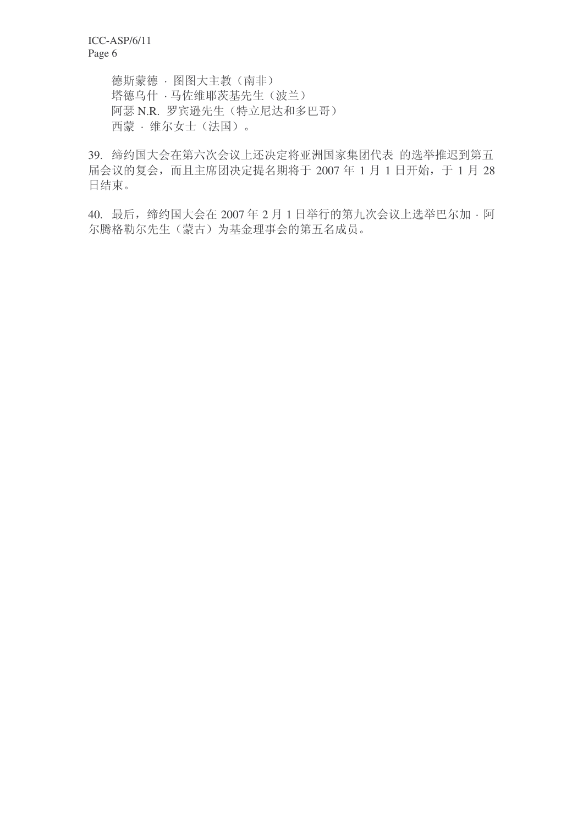德斯蒙德 · 图图大主教 (南非) 塔德乌什 · 马佐维耶茨基先生(波兰) 阿瑟 N.R. 罗宾逊先生(特立尼达和多巴哥) 西蒙· 维尔女士(法国)。

39. 缔约国大会在第六次会议上还决定将亚洲国家集团代表 的选举推迟到第五 届会议的复会,而且主席团决定提名期将于 2007 年 1 月 1 日开始,于 1 月 28 日结束。

40. 最后, 缔约国大会在 2007年 2月 1 日举行的第九次会议上选举巴尔加 · 阿 尔腾格勒尔先生(蒙古)为基金理事会的第五名成员。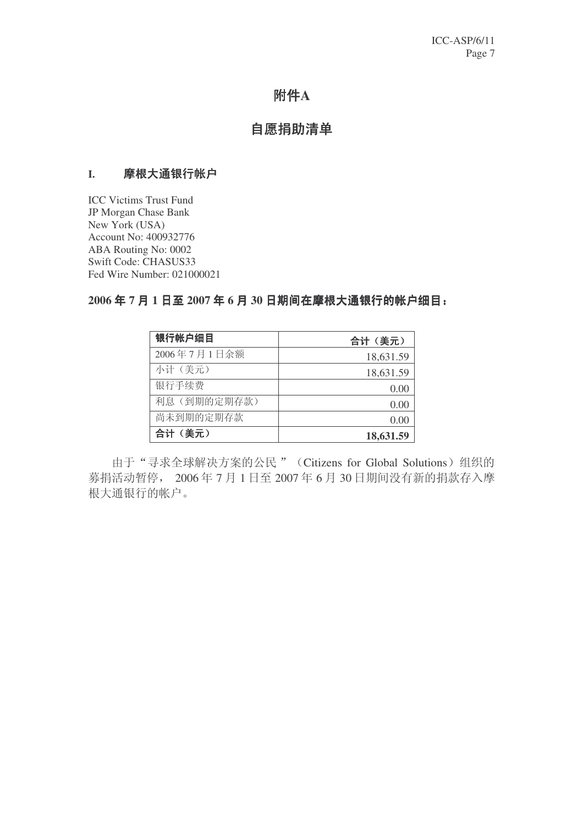# 附件A

# 自愿捐助清单

### I. 摩根大通银行帐户

ICC Victims Trust Fund JP Morgan Chase Bank New York (USA) Account No: 400932776 ABA Routing No: 0002 Swift Code: CHASUS33 Fed Wire Number: 021000021

### 2006年7月1日至2007年6月30日期间在摩根大通银行的帐户细目:

| 银行帐户细目      | 合计(美元)    |
|-------------|-----------|
| 2006年7月1日余额 | 18,631.59 |
| 小计(美元)      | 18,631.59 |
| 银行手续费       | 0.00      |
| 利息(到期的定期存款) | 0.00      |
| 尚未到期的定期存款   | 0.00      |
| 合计(美元)      | 18,631.59 |

由于"寻求全球解决方案的公民" (Citizens for Global Solutions) 组织的 募捐活动暂停, 2006年7月1日至 2007年6月 30日期间没有新的捐款存入摩 根大通银行的帐户。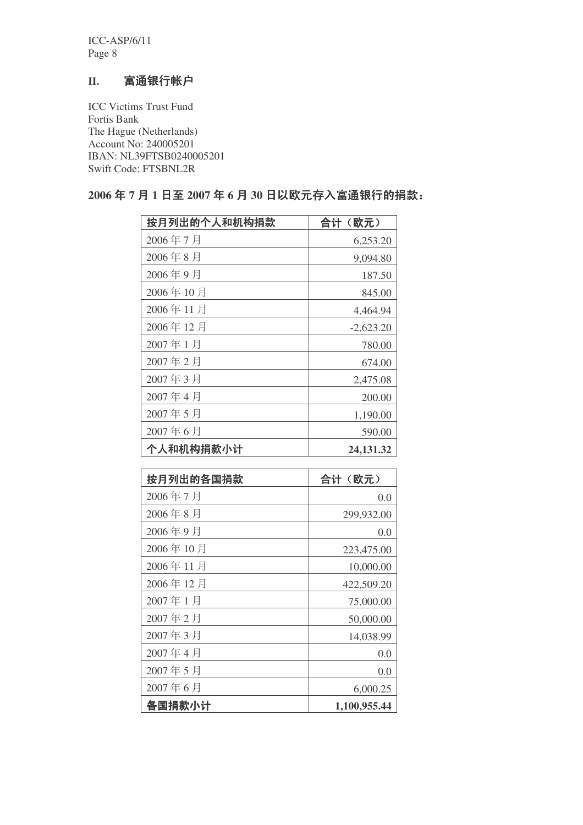ICC-ASP/6/11 Page 8

# II. 富通银行帐户

ICC Victims Trust Fund Fortis Bank The Hague (Netherlands) Account No: 240005201 IBAN: NL39FTSB0240005201 Swift Code: FTSBNL2R

# 按月列出的个人和机构捐款 | 合计(欧元) 2006年7月 6,253.20  $2006 \ncong 8 \ncong$  9,094.80 2006年9月 187.50 2006年10月 845.00 2006年11月 4,464.94  $2006 \ncong 12 \ncong$  -2.623.20  $2007 \ncong 1 \n \nexists$  780.00  $2007$  年 2 月 674.00  $2007 \nleftrightarrow 3 \nparallel$  2,475.08  $2007 \ncong 4 \ncong$  200.00 2007年5月 1,190.00 2007年6月 590.00 个人和机构捐款小计 (24,131.32)

| 按月列出的各国捐款 | 合计 (欧元)      |  |
|-----------|--------------|--|
| 2006年7月   | 0.0          |  |
| 2006年8月   | 299,932.00   |  |
| 2006年9月   | 0.0          |  |
| 2006年10月  | 223,475.00   |  |
| 2006年11月  | 10,000.00    |  |
| 2006年12月  | 422,509.20   |  |
| 2007年1月   | 75,000.00    |  |
| 2007年2月   | 50,000.00    |  |
| 2007年3月   | 14,038.99    |  |
| 2007年4月   | 0.0          |  |
| 2007年5月   | 0.0          |  |
| 2007年6月   | 6,000.25     |  |
| 各国捐款小计    | 1,100,955.44 |  |

# 2006年7月1日至2007年6月30日以欧元存入富通银行的捐款: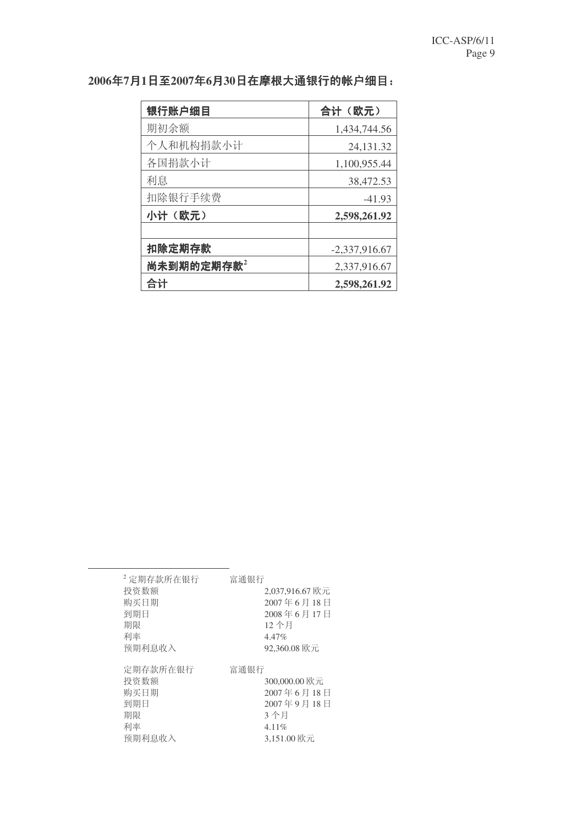| 银行账户细目    | 合计(欧元)          |  |  |
|-----------|-----------------|--|--|
| 期初余额      | 1,434,744.56    |  |  |
| 个人和机构捐款小计 | 24,131.32       |  |  |
| 各国捐款小计    | 1,100,955.44    |  |  |
| 利息        | 38,472.53       |  |  |
| 扣除银行手续费   | $-41.93$        |  |  |
| 小计 (欧元)   | 2,598,261.92    |  |  |
|           |                 |  |  |
| 扣除定期存款    | $-2,337,916.67$ |  |  |
| 尚未到期的定期存款 | 2,337,916.67    |  |  |
| 合计        | 2,598,261.92    |  |  |

# **2006**ᑈ**7**᳜**1**᮹㟇**2007**ᑈ**6**᳜**30**᮹ᨽḍ䗮䫊㸠ⱘᏤ᠋㒚Ⳃ˖

| 富通银行                                                                     |
|--------------------------------------------------------------------------|
| 2,037,916.67 欧元                                                          |
| 2007年6月18日                                                               |
| 2008年6月17日                                                               |
| 12个月                                                                     |
| $4.47\%$                                                                 |
| 92.360.08 欧元                                                             |
| 富通银行                                                                     |
| 300,000.00 欧元<br>2007年6月18日<br>2007年9月18日<br>3个月<br>4.11%<br>3.151.00 欧元 |
|                                                                          |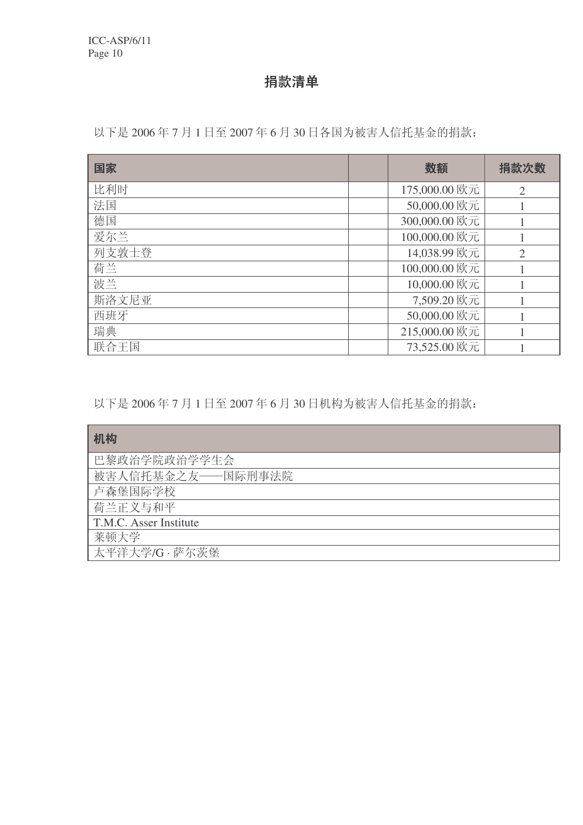捐款清单

以下是 2006年7月1日至 2007年6月 30日各国为被害人信托基金的捐款:

| 国家    | 数额            | 捐款次数           |
|-------|---------------|----------------|
| 比利时   | 175,000.00 欧元 | $\overline{2}$ |
| 法国    | 50,000.00 欧元  |                |
| 德国    | 300,000.00 欧元 |                |
| 爱尔兰   | 100,000.00 欧元 |                |
| 列支敦士登 | 14,038.99 欧元  | $\overline{2}$ |
| 荷兰    | 100,000.00 欧元 |                |
| 波兰    | 10,000.00 欧元  |                |
| 斯洛文尼亚 | 7,509.20 欧元   |                |
| 西班牙   | 50,000.00 欧元  |                |
| 瑞典    | 215,000.00 欧元 |                |
| 联合王国  | 73,525.00 欧元  |                |

以下是 2006年7月1日至 2007年6月 30日机构为被害人信托基金的捐款:

| 机构                     |
|------------------------|
| 巴黎政治学院政治学学生会           |
| 被害人信托基金之友——国际刑事法院      |
| 卢森堡国际学校                |
| 荷兰正义与和平                |
| T.M.C. Asser Institute |
| 莱顿大学                   |
| 太平洋大学/G·萨尔茨堡           |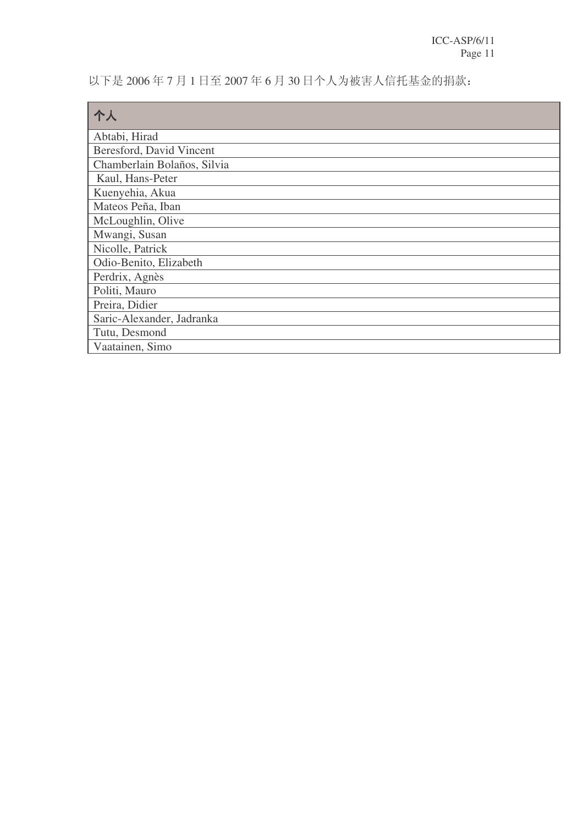以下是 2006年7月1日至 2007年6月 30日个人为被害人信托基金的捐款:

| 个人                          |
|-----------------------------|
| Abtabi, Hirad               |
| Beresford, David Vincent    |
| Chamberlain Bolaños, Silvia |
| Kaul, Hans-Peter            |
| Kuenyehia, Akua             |
| Mateos Peña, Iban           |
| McLoughlin, Olive           |
| Mwangi, Susan               |
| Nicolle, Patrick            |
| Odio-Benito, Elizabeth      |
| Perdrix, Agnès              |
| Politi, Mauro               |
| Preira, Didier              |
| Saric-Alexander, Jadranka   |
| Tutu, Desmond               |
| Vaatainen, Simo             |